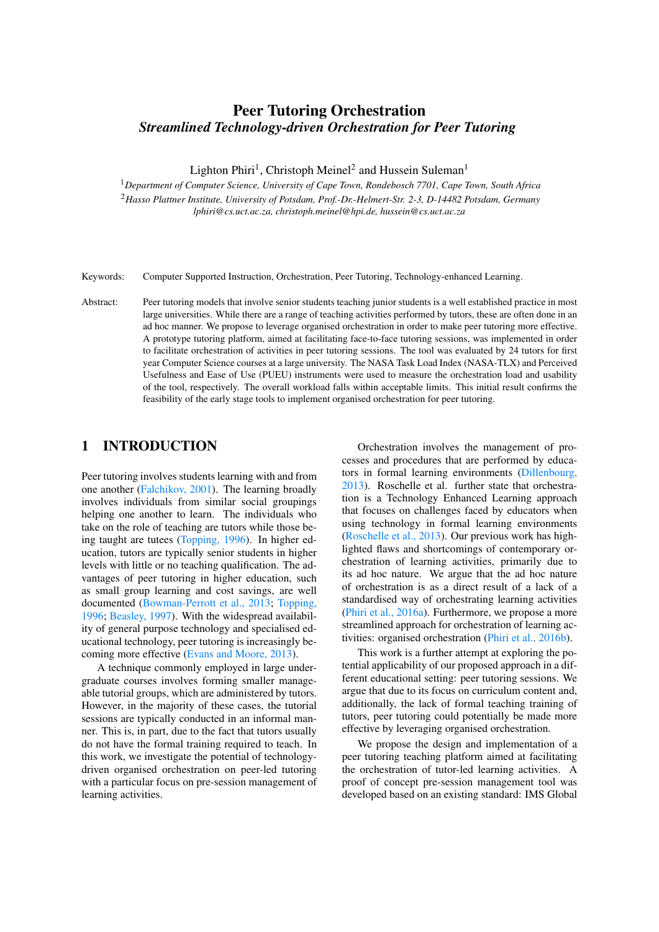# Peer Tutoring Orchestration *Streamlined Technology-driven Orchestration for Peer Tutoring*

Lighton Phiri<sup>1</sup>, Christoph Meinel<sup>2</sup> and Hussein Suleman<sup>1</sup>

<sup>1</sup>*Department of Computer Science, University of Cape Town, Rondebosch 7701, Cape Town, South Africa* <sup>2</sup>*Hasso Plattner Institute, University of Potsdam, Prof.-Dr.-Helmert-Str. 2-3, D-14482 Potsdam, Germany lphiri@cs.uct.ac.za, christoph.meinel@hpi.de, hussein@cs.uct.ac.za*

Keywords: Computer Supported Instruction, Orchestration, Peer Tutoring, Technology-enhanced Learning.

Abstract: Peer tutoring models that involve senior students teaching junior students is a well established practice in most large universities. While there are a range of teaching activities performed by tutors, these are often done in an ad hoc manner. We propose to leverage organised orchestration in order to make peer tutoring more effective. A prototype tutoring platform, aimed at facilitating face-to-face tutoring sessions, was implemented in order to facilitate orchestration of activities in peer tutoring sessions. The tool was evaluated by 24 tutors for first year Computer Science courses at a large university. The NASA Task Load Index (NASA-TLX) and Perceived Usefulness and Ease of Use (PUEU) instruments were used to measure the orchestration load and usability of the tool, respectively. The overall workload falls within acceptable limits. This initial result confirms the feasibility of the early stage tools to implement organised orchestration for peer tutoring.

# 1 INTRODUCTION

Peer tutoring involves students learning with and from one another [\(Falchikov, 2001\)](#page-7-0). The learning broadly involves individuals from similar social groupings helping one another to learn. The individuals who take on the role of teaching are tutors while those being taught are tutees [\(Topping, 1996\)](#page-7-1). In higher education, tutors are typically senior students in higher levels with little or no teaching qualification. The advantages of peer tutoring in higher education, such as small group learning and cost savings, are well documented [\(Bowman-Perrott et al., 2013;](#page-7-2) [Topping,](#page-7-1) [1996;](#page-7-1) [Beasley, 1997\)](#page-7-3). With the widespread availability of general purpose technology and specialised educational technology, peer tutoring is increasingly becoming more effective [\(Evans and Moore, 2013\)](#page-7-4).

A technique commonly employed in large undergraduate courses involves forming smaller manageable tutorial groups, which are administered by tutors. However, in the majority of these cases, the tutorial sessions are typically conducted in an informal manner. This is, in part, due to the fact that tutors usually do not have the formal training required to teach. In this work, we investigate the potential of technologydriven organised orchestration on peer-led tutoring with a particular focus on pre-session management of learning activities.

Orchestration involves the management of processes and procedures that are performed by educators in formal learning environments [\(Dillenbourg,](#page-7-5) [2013\)](#page-7-5). Roschelle et al. further state that orchestration is a Technology Enhanced Learning approach that focuses on challenges faced by educators when using technology in formal learning environments [\(Roschelle et al., 2013\)](#page-7-6). Our previous work has highlighted flaws and shortcomings of contemporary orchestration of learning activities, primarily due to its ad hoc nature. We argue that the ad hoc nature of orchestration is as a direct result of a lack of a standardised way of orchestrating learning activities [\(Phiri et al., 2016a\)](#page-7-7). Furthermore, we propose a more streamlined approach for orchestration of learning activities: organised orchestration [\(Phiri et al., 2016b\)](#page-7-8).

This work is a further attempt at exploring the potential applicability of our proposed approach in a different educational setting: peer tutoring sessions. We argue that due to its focus on curriculum content and, additionally, the lack of formal teaching training of tutors, peer tutoring could potentially be made more effective by leveraging organised orchestration.

We propose the design and implementation of a peer tutoring teaching platform aimed at facilitating the orchestration of tutor-led learning activities. A proof of concept pre-session management tool was developed based on an existing standard: IMS Global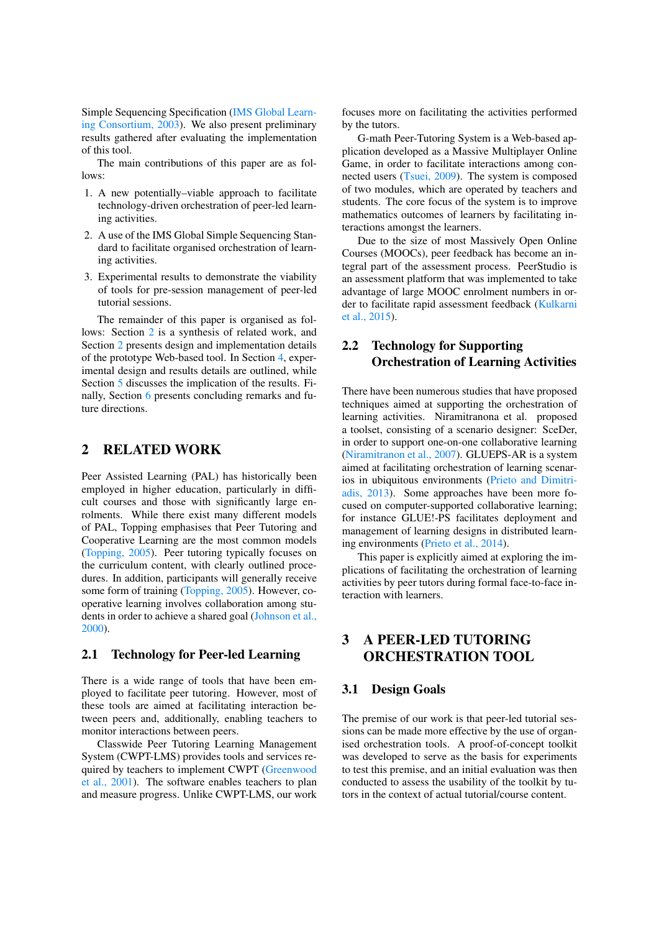Simple Sequencing Specification [\(IMS Global Learn](#page-7-9)[ing Consortium, 2003\)](#page-7-9). We also present preliminary results gathered after evaluating the implementation of this tool.

The main contributions of this paper are as follows:

- 1. A new potentially–viable approach to facilitate technology-driven orchestration of peer-led learning activities.
- 2. A use of the IMS Global Simple Sequencing Standard to facilitate organised orchestration of learning activities.
- 3. Experimental results to demonstrate the viability of tools for pre-session management of peer-led tutorial sessions.

The remainder of this paper is organised as follows: Section [2](#page-1-0) is a synthesis of related work, and Section [2](#page-1-0) presents design and implementation details of the prototype Web-based tool. In Section [4,](#page-3-0) experimental design and results details are outlined, while Section [5](#page-5-0) discusses the implication of the results. Finally, Section [6](#page-6-0) presents concluding remarks and future directions.

## <span id="page-1-0"></span>2 RELATED WORK

Peer Assisted Learning (PAL) has historically been employed in higher education, particularly in difficult courses and those with significantly large enrolments. While there exist many different models of PAL, Topping emphasises that Peer Tutoring and Cooperative Learning are the most common models [\(Topping, 2005\)](#page-7-10). Peer tutoring typically focuses on the curriculum content, with clearly outlined procedures. In addition, participants will generally receive some form of training [\(Topping, 2005\)](#page-7-10). However, cooperative learning involves collaboration among students in order to achieve a shared goal [\(Johnson et al.,](#page-7-11) [2000\)](#page-7-11).

### 2.1 Technology for Peer-led Learning

There is a wide range of tools that have been employed to facilitate peer tutoring. However, most of these tools are aimed at facilitating interaction between peers and, additionally, enabling teachers to monitor interactions between peers.

Classwide Peer Tutoring Learning Management System (CWPT-LMS) provides tools and services required by teachers to implement CWPT [\(Greenwood](#page-7-12) [et al., 2001\)](#page-7-12). The software enables teachers to plan and measure progress. Unlike CWPT-LMS, our work

focuses more on facilitating the activities performed by the tutors.

G-math Peer-Tutoring System is a Web-based application developed as a Massive Multiplayer Online Game, in order to facilitate interactions among connected users [\(Tsuei, 2009\)](#page-7-13). The system is composed of two modules, which are operated by teachers and students. The core focus of the system is to improve mathematics outcomes of learners by facilitating interactions amongst the learners.

Due to the size of most Massively Open Online Courses (MOOCs), peer feedback has become an integral part of the assessment process. PeerStudio is an assessment platform that was implemented to take advantage of large MOOC enrolment numbers in order to facilitate rapid assessment feedback [\(Kulkarni](#page-7-14) [et al., 2015\)](#page-7-14).

# 2.2 Technology for Supporting Orchestration of Learning Activities

There have been numerous studies that have proposed techniques aimed at supporting the orchestration of learning activities. Niramitranona et al. proposed a toolset, consisting of a scenario designer: SceDer, in order to support one-on-one collaborative learning [\(Niramitranon et al., 2007\)](#page-7-15). GLUEPS-AR is a system aimed at facilitating orchestration of learning scenarios in ubiquitous environments [\(Prieto and Dimitri](#page-7-16)[adis, 2013\)](#page-7-16). Some approaches have been more focused on computer-supported collaborative learning; for instance GLUE!-PS facilitates deployment and management of learning designs in distributed learning environments [\(Prieto et al., 2014\)](#page-7-17).

This paper is explicitly aimed at exploring the implications of facilitating the orchestration of learning activities by peer tutors during formal face-to-face interaction with learners.

# 3 A PEER-LED TUTORING ORCHESTRATION TOOL

## 3.1 Design Goals

The premise of our work is that peer-led tutorial sessions can be made more effective by the use of organised orchestration tools. A proof-of-concept toolkit was developed to serve as the basis for experiments to test this premise, and an initial evaluation was then conducted to assess the usability of the toolkit by tutors in the context of actual tutorial/course content.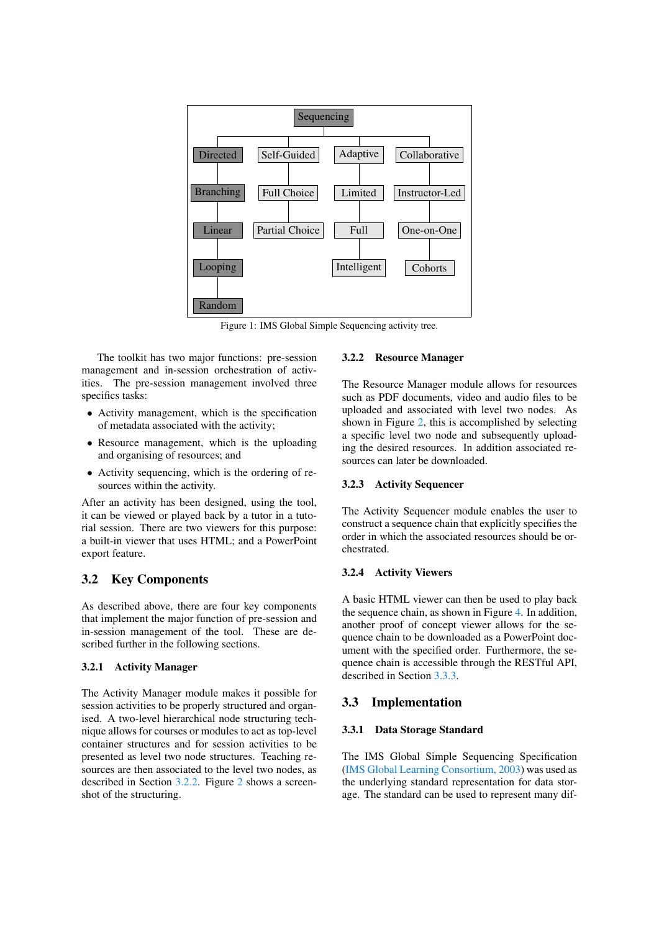<span id="page-2-1"></span>

Figure 1: IMS Global Simple Sequencing activity tree.

The toolkit has two major functions: pre-session management and in-session orchestration of activities. The pre-session management involved three specifics tasks:

- Activity management, which is the specification of metadata associated with the activity;
- Resource management, which is the uploading and organising of resources; and
- Activity sequencing, which is the ordering of resources within the activity.

After an activity has been designed, using the tool, it can be viewed or played back by a tutor in a tutorial session. There are two viewers for this purpose: a built-in viewer that uses HTML; and a PowerPoint export feature.

# 3.2 Key Components

As described above, there are four key components that implement the major function of pre-session and in-session management of the tool. These are described further in the following sections.

### 3.2.1 Activity Manager

The Activity Manager module makes it possible for session activities to be properly structured and organised. A two-level hierarchical node structuring technique allows for courses or modules to act as top-level container structures and for session activities to be presented as level two node structures. Teaching resources are then associated to the level two nodes, as described in Section [3.2.2.](#page-2-0) Figure [2](#page-3-1) shows a screenshot of the structuring.

### <span id="page-2-0"></span>3.2.2 Resource Manager

The Resource Manager module allows for resources such as PDF documents, video and audio files to be uploaded and associated with level two nodes. As shown in Figure [2,](#page-3-1) this is accomplished by selecting a specific level two node and subsequently uploading the desired resources. In addition associated resources can later be downloaded.

### 3.2.3 Activity Sequencer

The Activity Sequencer module enables the user to construct a sequence chain that explicitly specifies the order in which the associated resources should be orchestrated.

### 3.2.4 Activity Viewers

A basic HTML viewer can then be used to play back the sequence chain, as shown in Figure [4.](#page-3-1) In addition, another proof of concept viewer allows for the sequence chain to be downloaded as a PowerPoint document with the specified order. Furthermore, the sequence chain is accessible through the RESTful API, described in Section [3.3.3.](#page-3-2)

### 3.3 Implementation

### 3.3.1 Data Storage Standard

The IMS Global Simple Sequencing Specification [\(IMS Global Learning Consortium, 2003\)](#page-7-9) was used as the underlying standard representation for data storage. The standard can be used to represent many dif-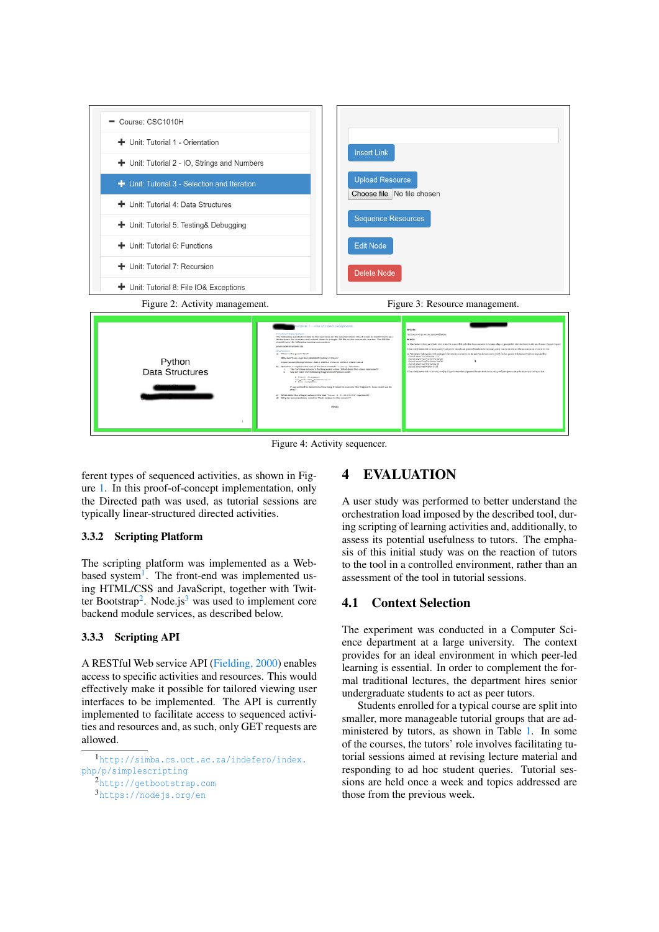<span id="page-3-1"></span>

Figure 4: Activity sequencer.

ferent types of sequenced activities, as shown in Figure [1.](#page-2-1) In this proof-of-concept implementation, only the Directed path was used, as tutorial sessions are typically linear-structured directed activities.

### <span id="page-3-6"></span>3.3.2 Scripting Platform

The scripting platform was implemented as a Web-based system<sup>[1](#page-3-3)</sup>. The front-end was implemented using HTML/CSS and JavaScript, together with Twit-ter Bootstrap<sup>[2](#page-3-4)</sup>. Node.js<sup>[3](#page-3-5)</sup> was used to implement core backend module services, as described below.

### <span id="page-3-2"></span>3.3.3 Scripting API

A RESTful Web service API [\(Fielding, 2000\)](#page-7-18) enables access to specific activities and resources. This would effectively make it possible for tailored viewing user interfaces to be implemented. The API is currently implemented to facilitate access to sequenced activities and resources and, as such, only GET requests are allowed.

# <span id="page-3-0"></span>4 EVALUATION

A user study was performed to better understand the orchestration load imposed by the described tool, during scripting of learning activities and, additionally, to assess its potential usefulness to tutors. The emphasis of this initial study was on the reaction of tutors to the tool in a controlled environment, rather than an assessment of the tool in tutorial sessions.

## 4.1 Context Selection

The experiment was conducted in a Computer Science department at a large university. The context provides for an ideal environment in which peer-led learning is essential. In order to complement the formal traditional lectures, the department hires senior undergraduate students to act as peer tutors.

Students enrolled for a typical course are split into smaller, more manageable tutorial groups that are administered by tutors, as shown in Table [1.](#page-4-0) In some of the courses, the tutors' role involves facilitating tutorial sessions aimed at revising lecture material and responding to ad hoc student queries. Tutorial sessions are held once a week and topics addressed are those from the previous week.

<span id="page-3-3"></span><sup>1</sup>[http://simba.cs.uct.ac.za/indefero/index.](http://simba.cs.uct.ac.za/indefero/index.php/p/simplescripting) [php/p/simplescripting](http://simba.cs.uct.ac.za/indefero/index.php/p/simplescripting)

<span id="page-3-5"></span><span id="page-3-4"></span><sup>2</sup><http://getbootstrap.com> <sup>3</sup><https://nodejs.org/en>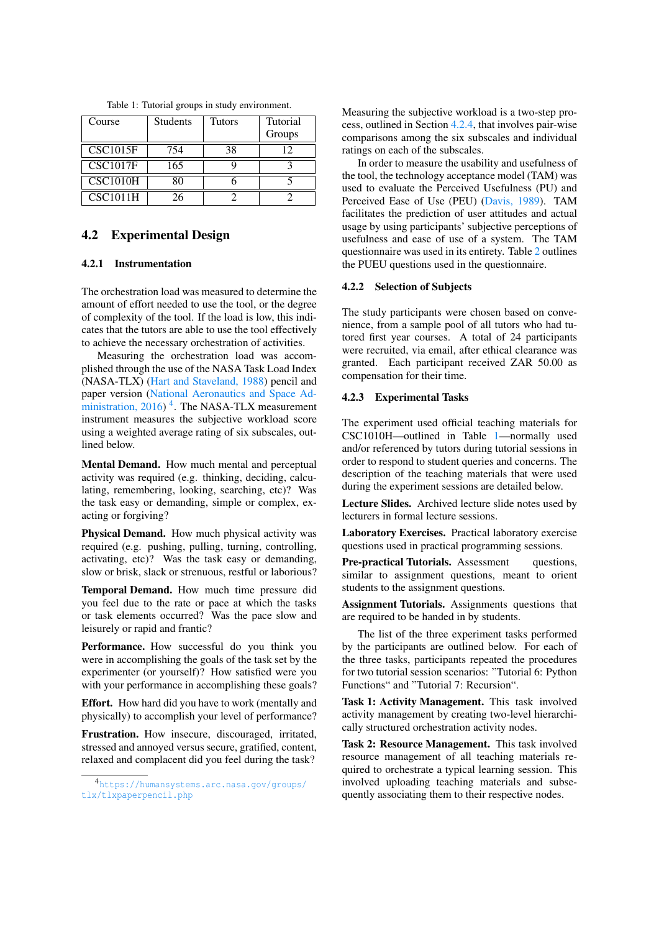<span id="page-4-0"></span>

| Course                                     | <b>Students</b> | Tutors | Tutorial<br>Groups |
|--------------------------------------------|-----------------|--------|--------------------|
| $\overline{\text{CS}}$ C1015F              | 754             |        | 12                 |
| $\overline{\text{CS}}$ C1017F              | 165             |        |                    |
| $\overline{\text{CSC}}$ 1010H              |                 |        |                    |
| $\overline{\text{CS}}$ C <sub>1011</sub> H |                 |        |                    |

Table 1: Tutorial groups in study environment.

## 4.2 Experimental Design

### 4.2.1 Instrumentation

The orchestration load was measured to determine the amount of effort needed to use the tool, or the degree of complexity of the tool. If the load is low, this indicates that the tutors are able to use the tool effectively to achieve the necessary orchestration of activities.

Measuring the orchestration load was accomplished through the use of the NASA Task Load Index (NASA-TLX) [\(Hart and Staveland, 1988\)](#page-7-19) pencil and paper version [\(National Aeronautics and Space Ad](#page-7-20)ministration,  $2016$ <sup>[4](#page-4-1)</sup>. The NASA-TLX measurement instrument measures the subjective workload score using a weighted average rating of six subscales, outlined below.

Mental Demand. How much mental and perceptual activity was required (e.g. thinking, deciding, calculating, remembering, looking, searching, etc)? Was the task easy or demanding, simple or complex, exacting or forgiving?

Physical Demand. How much physical activity was required (e.g. pushing, pulling, turning, controlling, activating, etc)? Was the task easy or demanding, slow or brisk, slack or strenuous, restful or laborious?

Temporal Demand. How much time pressure did you feel due to the rate or pace at which the tasks or task elements occurred? Was the pace slow and leisurely or rapid and frantic?

Performance. How successful do you think you were in accomplishing the goals of the task set by the experimenter (or yourself)? How satisfied were you with your performance in accomplishing these goals?

Effort. How hard did you have to work (mentally and physically) to accomplish your level of performance?

Frustration. How insecure, discouraged, irritated, stressed and annoyed versus secure, gratified, content, relaxed and complacent did you feel during the task?

Measuring the subjective workload is a two-step process, outlined in Section [4.2.4,](#page-5-1) that involves pair-wise comparisons among the six subscales and individual ratings on each of the subscales.

In order to measure the usability and usefulness of the tool, the technology acceptance model (TAM) was used to evaluate the Perceived Usefulness (PU) and Perceived Ease of Use (PEU) [\(Davis, 1989\)](#page-7-21). TAM facilitates the prediction of user attitudes and actual usage by using participants' subjective perceptions of usefulness and ease of use of a system. The TAM questionnaire was used in its entirety. Table [2](#page-6-1) outlines the PUEU questions used in the questionnaire.

### 4.2.2 Selection of Subjects

The study participants were chosen based on convenience, from a sample pool of all tutors who had tutored first year courses. A total of 24 participants were recruited, via email, after ethical clearance was granted. Each participant received ZAR 50.00 as compensation for their time.

#### <span id="page-4-2"></span>4.2.3 Experimental Tasks

The experiment used official teaching materials for CSC1010H—outlined in Table [1—](#page-4-0)normally used and/or referenced by tutors during tutorial sessions in order to respond to student queries and concerns. The description of the teaching materials that were used during the experiment sessions are detailed below.

Lecture Slides. Archived lecture slide notes used by lecturers in formal lecture sessions.

Laboratory Exercises. Practical laboratory exercise questions used in practical programming sessions.

Pre-practical Tutorials. Assessment questions, similar to assignment questions, meant to orient students to the assignment questions.

Assignment Tutorials. Assignments questions that are required to be handed in by students.

The list of the three experiment tasks performed by the participants are outlined below. For each of the three tasks, participants repeated the procedures for two tutorial session scenarios: "Tutorial 6: Python Functions" and "Tutorial 7: Recursion".

Task 1: Activity Management. This task involved activity management by creating two-level hierarchically structured orchestration activity nodes.

Task 2: Resource Management. This task involved resource management of all teaching materials required to orchestrate a typical learning session. This involved uploading teaching materials and subsequently associating them to their respective nodes.

<span id="page-4-1"></span><sup>4</sup>[https://humansystems.arc.nasa.gov/groups/](https://humansystems.arc.nasa.gov/groups/tlx/tlxpaperpencil.php) [tlx/tlxpaperpencil.php](https://humansystems.arc.nasa.gov/groups/tlx/tlxpaperpencil.php)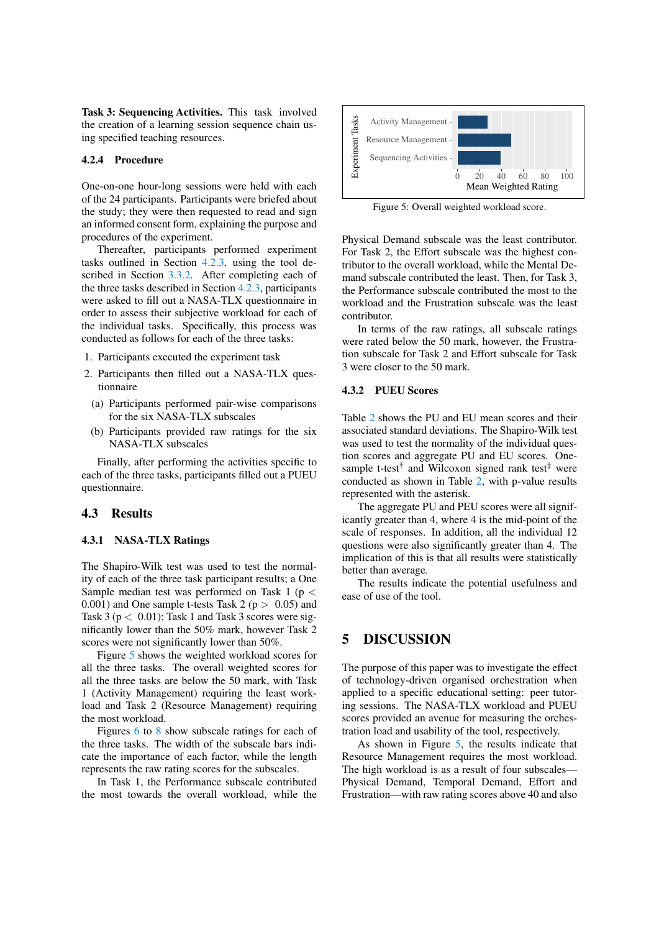Task 3: Sequencing Activities. This task involved the creation of a learning session sequence chain using specified teaching resources.

#### <span id="page-5-1"></span>4.2.4 Procedure

One-on-one hour-long sessions were held with each of the 24 participants. Participants were briefed about the study; they were then requested to read and sign an informed consent form, explaining the purpose and procedures of the experiment.

Thereafter, participants performed experiment tasks outlined in Section [4.2.3,](#page-4-2) using the tool described in Section [3.3.2.](#page-3-6) After completing each of the three tasks described in Section [4.2.3,](#page-4-2) participants were asked to fill out a NASA-TLX questionnaire in order to assess their subjective workload for each of the individual tasks. Specifically, this process was conducted as follows for each of the three tasks:

- 1. Participants executed the experiment task
- 2. Participants then filled out a NASA-TLX questionnaire
	- (a) Participants performed pair-wise comparisons for the six NASA-TLX subscales
	- (b) Participants provided raw ratings for the six NASA-TLX subscales

Finally, after performing the activities specific to each of the three tasks, participants filled out a PUEU questionnaire.

### 4.3 Results

#### 4.3.1 NASA-TLX Ratings

The Shapiro-Wilk test was used to test the normality of each of the three task participant results; a One Sample median test was performed on Task 1 ( $p <$ 0.001) and One sample t-tests Task 2 ( $p > 0.05$ ) and Task 3 ( $p < 0.01$ ); Task 1 and Task 3 scores were significantly lower than the 50% mark, however Task 2 scores were not significantly lower than 50%.

Figure [5](#page-5-2) shows the weighted workload scores for all the three tasks. The overall weighted scores for all the three tasks are below the 50 mark, with Task 1 (Activity Management) requiring the least workload and Task 2 (Resource Management) requiring the most workload.

Figures [6](#page-6-2) to [8](#page-6-2) show subscale ratings for each of the three tasks. The width of the subscale bars indicate the importance of each factor, while the length represents the raw rating scores for the subscales.

In Task 1, the Performance subscale contributed the most towards the overall workload, while the

<span id="page-5-2"></span>

Figure 5: Overall weighted workload score.

Physical Demand subscale was the least contributor. For Task 2, the Effort subscale was the highest contributor to the overall workload, while the Mental Demand subscale contributed the least. Then, for Task 3, the Performance subscale contributed the most to the workload and the Frustration subscale was the least contributor.

In terms of the raw ratings, all subscale ratings were rated below the 50 mark, however, the Frustration subscale for Task 2 and Effort subscale for Task 3 were closer to the 50 mark.

### 4.3.2 PUEU Scores

Table [2](#page-6-1) shows the PU and EU mean scores and their associated standard deviations. The Shapiro-Wilk test was used to test the normality of the individual question scores and aggregate PU and EU scores. Onesample t-test<sup>†</sup> and Wilcoxon signed rank test<sup>‡</sup> were conducted as shown in Table [2,](#page-6-1) with p-value results represented with the asterisk.

The aggregate PU and PEU scores were all significantly greater than 4, where 4 is the mid-point of the scale of responses. In addition, all the individual 12 questions were also significantly greater than 4. The implication of this is that all results were statistically better than average.

The results indicate the potential usefulness and ease of use of the tool.

## <span id="page-5-0"></span>5 DISCUSSION

The purpose of this paper was to investigate the effect of technology-driven organised orchestration when applied to a specific educational setting: peer tutoring sessions. The NASA-TLX workload and PUEU scores provided an avenue for measuring the orchestration load and usability of the tool, respectively.

As shown in Figure [5,](#page-5-2) the results indicate that Resource Management requires the most workload. The high workload is as a result of four subscales— Physical Demand, Temporal Demand, Effort and Frustration—with raw rating scores above 40 and also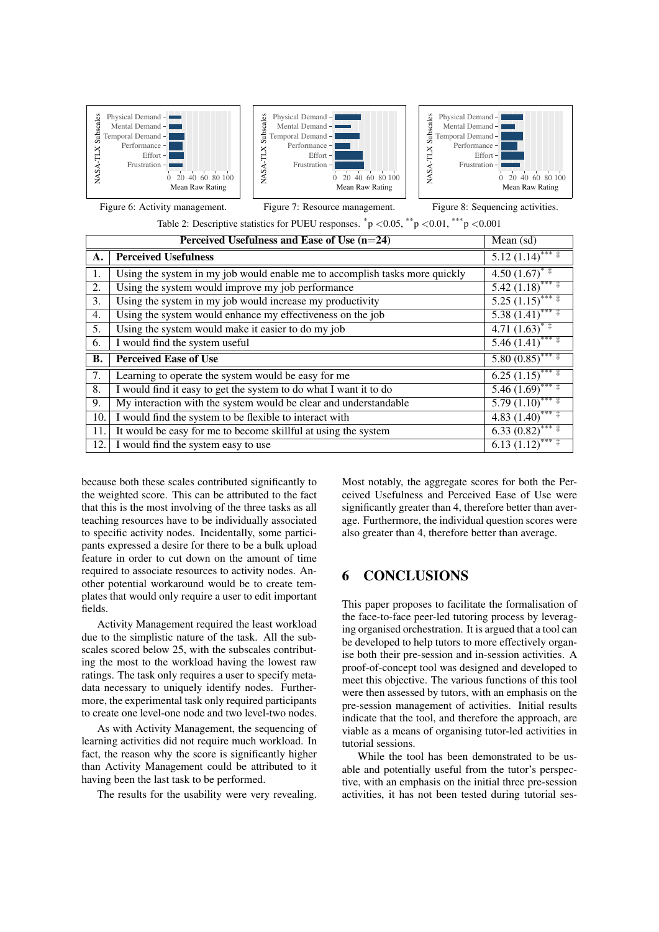<span id="page-6-2"></span>

Figure 6: Activity management.



Table 2: Descriptive statistics for PUEU responses.  $p < 0.05$ ,  $p < 0.01$ ,  $p > 0.001$ 

<span id="page-6-1"></span>

|           | Mean $(sd)$                                                                 |                                             |
|-----------|-----------------------------------------------------------------------------|---------------------------------------------|
| A.        | <b>Perceived Usefulness</b>                                                 | $5.12(1.14)$ *** $\ddagger$                 |
| 1.        | Using the system in my job would enable me to accomplish tasks more quickly | $4.50(1.67)^{**}$                           |
| 2.        | Using the system would improve my job performance                           | $5.42 (1.18)$ <sup>****</sup>               |
| 3.        | Using the system in my job would increase my productivity                   | $5.25(1.15)$ *** ‡                          |
| 4.        | Using the system would enhance my effectiveness on the job                  | $5.\overline{38(1.41)}^{***}$               |
| 5.        | Using the system would make it easier to do my job                          | $4.71 (1.63)^{*}$                           |
| 6.        | I would find the system useful                                              | $\overline{5.46(1.41)}$ *** ‡               |
| <b>B.</b> | <b>Perceived Ease of Use</b>                                                | $5.80(0.85)$ *** ‡                          |
| 7.        | Learning to operate the system would be easy for me                         | $6.25 \overline{(1.15)}$ *** $\overline{+}$ |
| 8.        | I would find it easy to get the system to do what I want it to do           | $5.46(1.69)$ *** ‡                          |
| 9.        | My interaction with the system would be clear and understandable            | $5.79(1.10)$ *** $\ddagger$                 |
| 10.       | I would find the system to be flexible to interact with                     | $4.83(1.40)$ <sup>****</sup>                |
| 11.       | It would be easy for me to become skillful at using the system              | $6.33(0.82)$ ****                           |
| 12.       | I would find the system easy to use                                         | $6.13 \overline{(1.12)}^{***}$              |

because both these scales contributed significantly to the weighted score. This can be attributed to the fact that this is the most involving of the three tasks as all teaching resources have to be individually associated to specific activity nodes. Incidentally, some participants expressed a desire for there to be a bulk upload feature in order to cut down on the amount of time required to associate resources to activity nodes. Another potential workaround would be to create templates that would only require a user to edit important fields.

Activity Management required the least workload due to the simplistic nature of the task. All the subscales scored below 25, with the subscales contributing the most to the workload having the lowest raw ratings. The task only requires a user to specify metadata necessary to uniquely identify nodes. Furthermore, the experimental task only required participants to create one level-one node and two level-two nodes.

As with Activity Management, the sequencing of learning activities did not require much workload. In fact, the reason why the score is significantly higher than Activity Management could be attributed to it having been the last task to be performed.

The results for the usability were very revealing.

Most notably, the aggregate scores for both the Perceived Usefulness and Perceived Ease of Use were significantly greater than 4, therefore better than average. Furthermore, the individual question scores were also greater than 4, therefore better than average.

# <span id="page-6-0"></span>6 CONCLUSIONS

This paper proposes to facilitate the formalisation of the face-to-face peer-led tutoring process by leveraging organised orchestration. It is argued that a tool can be developed to help tutors to more effectively organise both their pre-session and in-session activities. A proof-of-concept tool was designed and developed to meet this objective. The various functions of this tool were then assessed by tutors, with an emphasis on the pre-session management of activities. Initial results indicate that the tool, and therefore the approach, are viable as a means of organising tutor-led activities in tutorial sessions.

While the tool has been demonstrated to be usable and potentially useful from the tutor's perspective, with an emphasis on the initial three pre-session activities, it has not been tested during tutorial ses